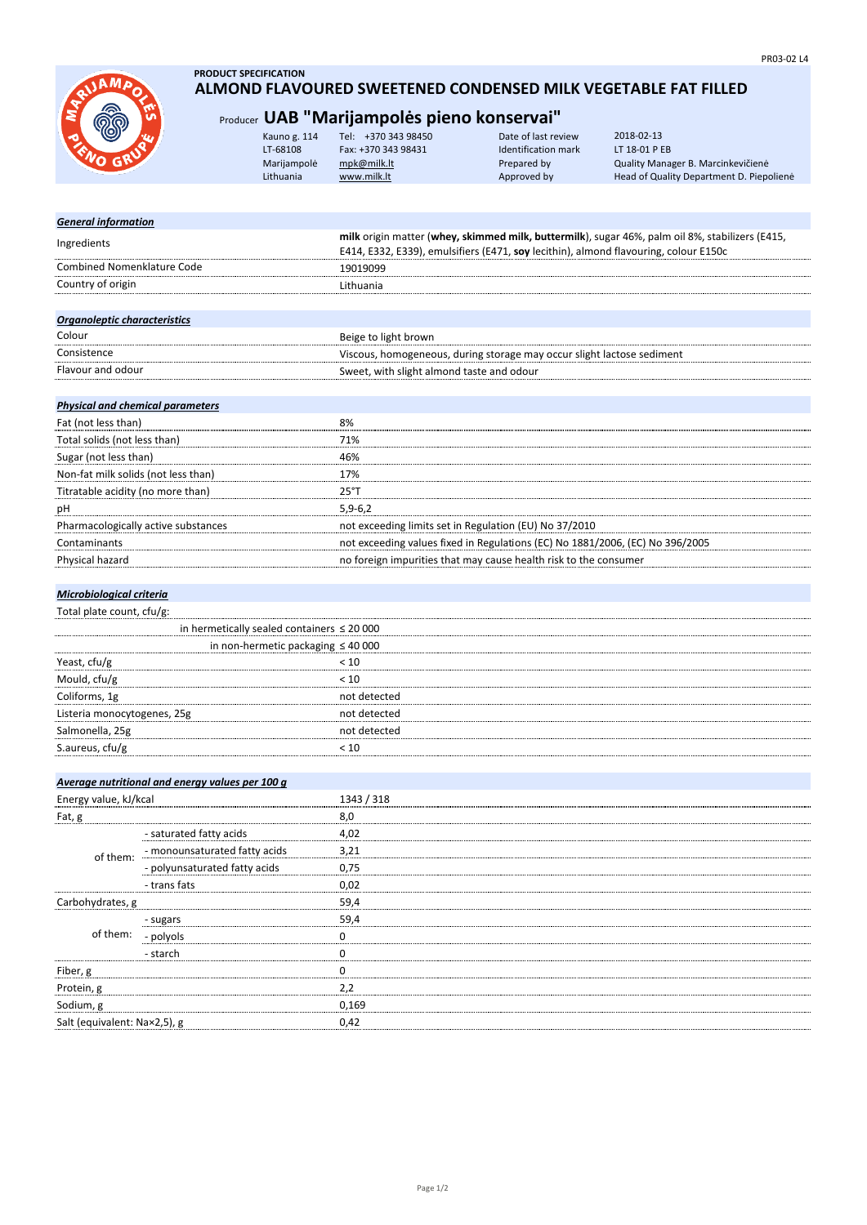

### **PRODUCT SPECIFICATION ALMOND FLAVOURED SWEETENED CONDENSED MILK VEGETABLE FAT FILLED**

## Producer **UAB "Marijampolės pieno konservai"**

|  |  | Kauno g. 114<br>LT-68108<br>Marijampolė<br>Lithuania | Tel: +370 343 98450<br>Fax: +370 343 98431<br>mpk@milk.lt<br>www.milk.lt | Date of last review<br>Identification mark<br>Prepared by<br>Approved by | 2018-02-13<br>LT 18-01 P EB<br>Quality Manager B. Marcinkevičienė<br>Head of Quality Department D. Piepoliene |
|--|--|------------------------------------------------------|--------------------------------------------------------------------------|--------------------------------------------------------------------------|---------------------------------------------------------------------------------------------------------------|
|--|--|------------------------------------------------------|--------------------------------------------------------------------------|--------------------------------------------------------------------------|---------------------------------------------------------------------------------------------------------------|

## *General information* **milk** origin matter (**whey, skimmed milk, buttermilk**), sugar 46%, palm oil 8%, stabilizers (E415, Ingredients<br>
F444, F333, F339), spulsifizer (F474, asularithia), almond flavouring, aslam F4F0. E414, E332, E339), emulsifiers (E471, **soy** lecithin), almond flavouring, colour E150c Combined Nomenklature Code 19019099 Country of origin **Lithuania**

| Organoleptic characteristics |                                                                        |
|------------------------------|------------------------------------------------------------------------|
| Colour                       | Beige to light brown                                                   |
| Consistence                  | Viscous, homogeneous, during storage may occur slight lactose sediment |
| Flavour and odour            | Sweet, with slight almond taste and odour                              |

## *Physical and chemical parameters*

| Fat (not less than)                 | 8%                                                                            |
|-------------------------------------|-------------------------------------------------------------------------------|
| Total solids (not less than)        | 71%                                                                           |
| Sugar (not less than)               | 46%                                                                           |
| Non-fat milk solids (not less than) | 17%                                                                           |
| Titratable acidity (no more than)   | $25°$ T                                                                       |
| pH                                  | $5.9 - 6.2$                                                                   |
| Pharmacologically active substances | not exceeding limits set in Regulation (EU) No 37/2010                        |
| Contaminants                        | not exceeding values fixed in Regulations (EC) No 1881/2006, (EC) No 396/2005 |
| Physical hazard                     | no foreign impurities that may cause health risk to the consumer              |

#### *Microbiological criteria*

|  | Total plate count, cfu/g: |  |
|--|---------------------------|--|
|  |                           |  |

|                             | in hermetically sealed containers $\leq 20000$ |  |
|-----------------------------|------------------------------------------------|--|
|                             | in non-hermetic packaging $\leq 40000$         |  |
| Yeast, cfu/g                |                                                |  |
| Mould, cfu/g                | 10 >                                           |  |
| Coliforms, 1g               | not detected                                   |  |
| Listeria monocytogenes, 25g | not detected                                   |  |
| Salmonella, 25g             | not detected                                   |  |
| S.aureus, cfu/g             |                                                |  |
|                             |                                                |  |

|                              | Average nutritional and energy values per 100 g |            |
|------------------------------|-------------------------------------------------|------------|
| Energy value, kJ/kcal        |                                                 | 1343 / 318 |
| Fat, g                       |                                                 | 8,0        |
|                              | - saturated fatty acids                         | 4,02       |
| of them:                     | - monounsaturated fatty acids                   | 3,21       |
|                              | - polyunsaturated fatty acids                   | 0,75       |
|                              | - trans fats                                    | 0,02       |
| Carbohydrates, g             |                                                 | 59,4       |
|                              | - sugars                                        | 59,4       |
| of them:                     | - polyols                                       |            |
|                              | - starch                                        |            |
| Fiber, g                     |                                                 |            |
| Protein, g                   |                                                 | 2,2        |
| Sodium, g                    |                                                 | 0.169      |
| Salt (equivalent: Na×2,5), g |                                                 | 0.42       |